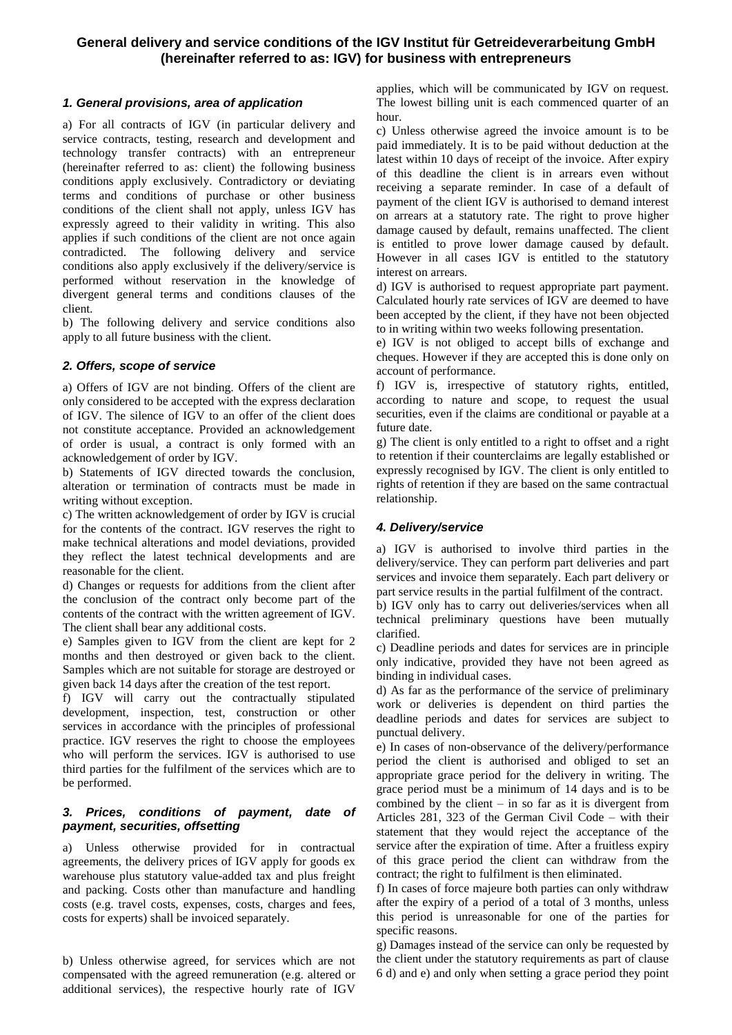# **General delivery and service conditions of the IGV Institut für Getreideverarbeitung GmbH (hereinafter referred to as: IGV) for business with entrepreneurs**

# *1. General provisions, area of application*

a) For all contracts of IGV (in particular delivery and service contracts, testing, research and development and technology transfer contracts) with an entrepreneur (hereinafter referred to as: client) the following business conditions apply exclusively. Contradictory or deviating terms and conditions of purchase or other business conditions of the client shall not apply, unless IGV has expressly agreed to their validity in writing. This also applies if such conditions of the client are not once again contradicted. The following delivery and service conditions also apply exclusively if the delivery/service is performed without reservation in the knowledge of divergent general terms and conditions clauses of the client.

b) The following delivery and service conditions also apply to all future business with the client.

# *2. Offers, scope of service*

a) Offers of IGV are not binding. Offers of the client are only considered to be accepted with the express declaration of IGV. The silence of IGV to an offer of the client does not constitute acceptance. Provided an acknowledgement of order is usual, a contract is only formed with an acknowledgement of order by IGV.

b) Statements of IGV directed towards the conclusion, alteration or termination of contracts must be made in writing without exception.

c) The written acknowledgement of order by IGV is crucial for the contents of the contract. IGV reserves the right to make technical alterations and model deviations, provided they reflect the latest technical developments and are reasonable for the client.

d) Changes or requests for additions from the client after the conclusion of the contract only become part of the contents of the contract with the written agreement of IGV. The client shall bear any additional costs.

e) Samples given to IGV from the client are kept for 2 months and then destroyed or given back to the client. Samples which are not suitable for storage are destroyed or given back 14 days after the creation of the test report.

f) IGV will carry out the contractually stipulated development, inspection, test, construction or other services in accordance with the principles of professional practice. IGV reserves the right to choose the employees who will perform the services. IGV is authorised to use third parties for the fulfilment of the services which are to be performed.

## *3. Prices, conditions of payment, date of payment, securities, offsetting*

a) Unless otherwise provided for in contractual agreements, the delivery prices of IGV apply for goods ex warehouse plus statutory value-added tax and plus freight and packing. Costs other than manufacture and handling costs (e.g. travel costs, expenses, costs, charges and fees, costs for experts) shall be invoiced separately.

b) Unless otherwise agreed, for services which are not compensated with the agreed remuneration (e.g. altered or additional services), the respective hourly rate of IGV

applies, which will be communicated by IGV on request. The lowest billing unit is each commenced quarter of an hour.

c) Unless otherwise agreed the invoice amount is to be paid immediately. It is to be paid without deduction at the latest within 10 days of receipt of the invoice. After expiry of this deadline the client is in arrears even without receiving a separate reminder. In case of a default of payment of the client IGV is authorised to demand interest on arrears at a statutory rate. The right to prove higher damage caused by default, remains unaffected. The client is entitled to prove lower damage caused by default. However in all cases IGV is entitled to the statutory interest on arrears.

d) IGV is authorised to request appropriate part payment. Calculated hourly rate services of IGV are deemed to have been accepted by the client, if they have not been objected to in writing within two weeks following presentation.

e) IGV is not obliged to accept bills of exchange and cheques. However if they are accepted this is done only on account of performance.

f) IGV is, irrespective of statutory rights, entitled, according to nature and scope, to request the usual securities, even if the claims are conditional or payable at a future date.

g) The client is only entitled to a right to offset and a right to retention if their counterclaims are legally established or expressly recognised by IGV. The client is only entitled to rights of retention if they are based on the same contractual relationship.

# *4. Delivery/service*

a) IGV is authorised to involve third parties in the delivery/service. They can perform part deliveries and part services and invoice them separately. Each part delivery or part service results in the partial fulfilment of the contract.

b) IGV only has to carry out deliveries/services when all technical preliminary questions have been mutually clarified.

c) Deadline periods and dates for services are in principle only indicative, provided they have not been agreed as binding in individual cases.

d) As far as the performance of the service of preliminary work or deliveries is dependent on third parties the deadline periods and dates for services are subject to punctual delivery.

e) In cases of non-observance of the delivery/performance period the client is authorised and obliged to set an appropriate grace period for the delivery in writing. The grace period must be a minimum of 14 days and is to be combined by the client  $-$  in so far as it is divergent from Articles 281, 323 of the German Civil Code – with their statement that they would reject the acceptance of the service after the expiration of time. After a fruitless expiry of this grace period the client can withdraw from the contract; the right to fulfilment is then eliminated.

f) In cases of force majeure both parties can only withdraw after the expiry of a period of a total of 3 months, unless this period is unreasonable for one of the parties for specific reasons.

g) Damages instead of the service can only be requested by the client under the statutory requirements as part of clause 6 d) and e) and only when setting a grace period they point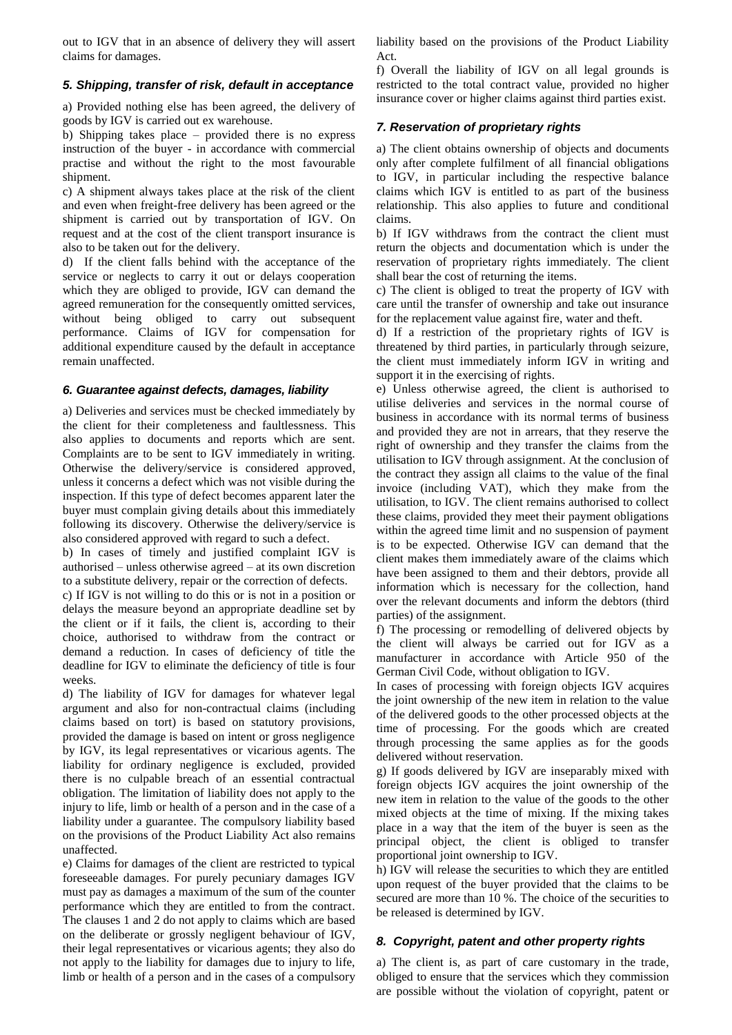out to IGV that in an absence of delivery they will assert claims for damages.

### *5. Shipping, transfer of risk, default in acceptance*

a) Provided nothing else has been agreed, the delivery of goods by IGV is carried out ex warehouse.

b) Shipping takes place – provided there is no express instruction of the buyer - in accordance with commercial practise and without the right to the most favourable shipment.

c) A shipment always takes place at the risk of the client and even when freight-free delivery has been agreed or the shipment is carried out by transportation of IGV. On request and at the cost of the client transport insurance is also to be taken out for the delivery.

d) If the client falls behind with the acceptance of the service or neglects to carry it out or delays cooperation which they are obliged to provide, IGV can demand the agreed remuneration for the consequently omitted services, without being obliged to carry out subsequent performance. Claims of IGV for compensation for additional expenditure caused by the default in acceptance remain unaffected.

#### *6. Guarantee against defects, damages, liability*

a) Deliveries and services must be checked immediately by the client for their completeness and faultlessness. This also applies to documents and reports which are sent. Complaints are to be sent to IGV immediately in writing. Otherwise the delivery/service is considered approved, unless it concerns a defect which was not visible during the inspection. If this type of defect becomes apparent later the buyer must complain giving details about this immediately following its discovery. Otherwise the delivery/service is also considered approved with regard to such a defect.

b) In cases of timely and justified complaint IGV is authorised – unless otherwise agreed – at its own discretion to a substitute delivery, repair or the correction of defects.

c) If IGV is not willing to do this or is not in a position or delays the measure beyond an appropriate deadline set by the client or if it fails, the client is, according to their choice, authorised to withdraw from the contract or demand a reduction. In cases of deficiency of title the deadline for IGV to eliminate the deficiency of title is four weeks.

d) The liability of IGV for damages for whatever legal argument and also for non-contractual claims (including claims based on tort) is based on statutory provisions, provided the damage is based on intent or gross negligence by IGV, its legal representatives or vicarious agents. The liability for ordinary negligence is excluded, provided there is no culpable breach of an essential contractual obligation. The limitation of liability does not apply to the injury to life, limb or health of a person and in the case of a liability under a guarantee. The compulsory liability based on the provisions of the Product Liability Act also remains unaffected.

e) Claims for damages of the client are restricted to typical foreseeable damages. For purely pecuniary damages IGV must pay as damages a maximum of the sum of the counter performance which they are entitled to from the contract. The clauses 1 and 2 do not apply to claims which are based on the deliberate or grossly negligent behaviour of IGV, their legal representatives or vicarious agents; they also do not apply to the liability for damages due to injury to life, limb or health of a person and in the cases of a compulsory

liability based on the provisions of the Product Liability Act.

f) Overall the liability of IGV on all legal grounds is restricted to the total contract value, provided no higher insurance cover or higher claims against third parties exist.

# *7. Reservation of proprietary rights*

a) The client obtains ownership of objects and documents only after complete fulfilment of all financial obligations to IGV, in particular including the respective balance claims which IGV is entitled to as part of the business relationship. This also applies to future and conditional claims.

b) If IGV withdraws from the contract the client must return the objects and documentation which is under the reservation of proprietary rights immediately. The client shall bear the cost of returning the items.

c) The client is obliged to treat the property of IGV with care until the transfer of ownership and take out insurance for the replacement value against fire, water and theft.

d) If a restriction of the proprietary rights of IGV is threatened by third parties, in particularly through seizure, the client must immediately inform IGV in writing and support it in the exercising of rights.

e) Unless otherwise agreed, the client is authorised to utilise deliveries and services in the normal course of business in accordance with its normal terms of business and provided they are not in arrears, that they reserve the right of ownership and they transfer the claims from the utilisation to IGV through assignment. At the conclusion of the contract they assign all claims to the value of the final invoice (including VAT), which they make from the utilisation, to IGV. The client remains authorised to collect these claims, provided they meet their payment obligations within the agreed time limit and no suspension of payment is to be expected. Otherwise IGV can demand that the client makes them immediately aware of the claims which have been assigned to them and their debtors, provide all information which is necessary for the collection, hand over the relevant documents and inform the debtors (third parties) of the assignment.

f) The processing or remodelling of delivered objects by the client will always be carried out for IGV as a manufacturer in accordance with Article 950 of the German Civil Code, without obligation to IGV.

In cases of processing with foreign objects IGV acquires the joint ownership of the new item in relation to the value of the delivered goods to the other processed objects at the time of processing. For the goods which are created through processing the same applies as for the goods delivered without reservation.

g) If goods delivered by IGV are inseparably mixed with foreign objects IGV acquires the joint ownership of the new item in relation to the value of the goods to the other mixed objects at the time of mixing. If the mixing takes place in a way that the item of the buyer is seen as the principal object, the client is obliged to transfer proportional joint ownership to IGV.

h) IGV will release the securities to which they are entitled upon request of the buyer provided that the claims to be secured are more than 10 %. The choice of the securities to be released is determined by IGV.

## *8. Copyright, patent and other property rights*

a) The client is, as part of care customary in the trade, obliged to ensure that the services which they commission are possible without the violation of copyright, patent or